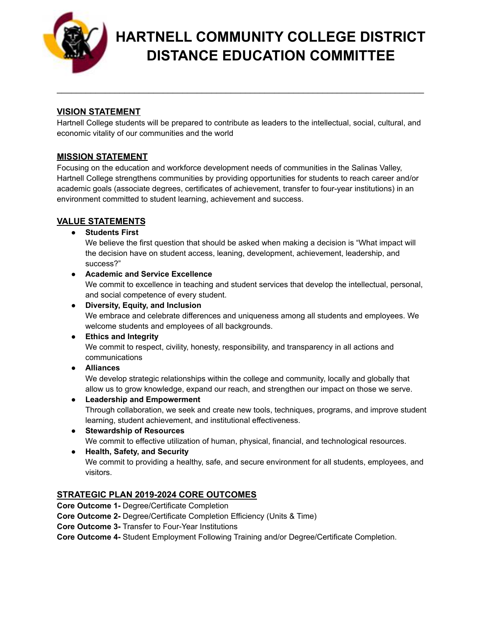

# **HARTNELL COMMUNITY COLLEGE DISTRICT DISTANCE EDUCATION COMMITTEE**

# **VISION STATEMENT**

Hartnell College students will be prepared to contribute as leaders to the intellectual, social, cultural, and economic vitality of our communities and the world

\_\_\_\_\_\_\_\_\_\_\_\_\_\_\_\_\_\_\_\_\_\_\_\_\_\_\_\_\_\_\_\_\_\_\_\_\_\_\_\_\_\_\_\_\_\_\_\_\_\_\_\_\_\_\_\_\_\_\_\_\_\_\_\_\_\_\_\_\_\_\_\_\_\_\_\_

# **MISSION STATEMENT**

Focusing on the education and workforce development needs of communities in the Salinas Valley, Hartnell College strengthens communities by providing opportunities for students to reach career and/or academic goals (associate degrees, certificates of achievement, transfer to four-year institutions) in an environment committed to student learning, achievement and success.

# **VALUE STATEMENTS**

**● Students First**

We believe the first question that should be asked when making a decision is "What impact will the decision have on student access, leaning, development, achievement, leadership, and success?"

# **● Academic and Service Excellence**

We commit to excellence in teaching and student services that develop the intellectual, personal, and social competence of every student.

**● Diversity, Equity, and Inclusion**

We embrace and celebrate differences and uniqueness among all students and employees. We welcome students and employees of all backgrounds.

- **● Ethics and Integrity** We commit to respect, civility, honesty, responsibility, and transparency in all actions and communications
- **● Alliances**

We develop strategic relationships within the college and community, locally and globally that allow us to grow knowledge, expand our reach, and strengthen our impact on those we serve.

**● Leadership and Empowerment**

Through collaboration, we seek and create new tools, techniques, programs, and improve student learning, student achievement, and institutional effectiveness.

- **● Stewardship of Resources** We commit to effective utilization of human, physical, financial, and technological resources.
- **● Health, Safety, and Security** We commit to providing a healthy, safe, and secure environment for all students, employees, and visitors.

# **STRATEGIC PLAN 2019-2024 CORE OUTCOMES**

**Core Outcome 1-** Degree/Certificate Completion

**Core Outcome 2-** Degree/Certificate Completion Efficiency (Units & Time)

**Core Outcome 3-** Transfer to Four-Year Institutions

**Core Outcome 4-** Student Employment Following Training and/or Degree/Certificate Completion.